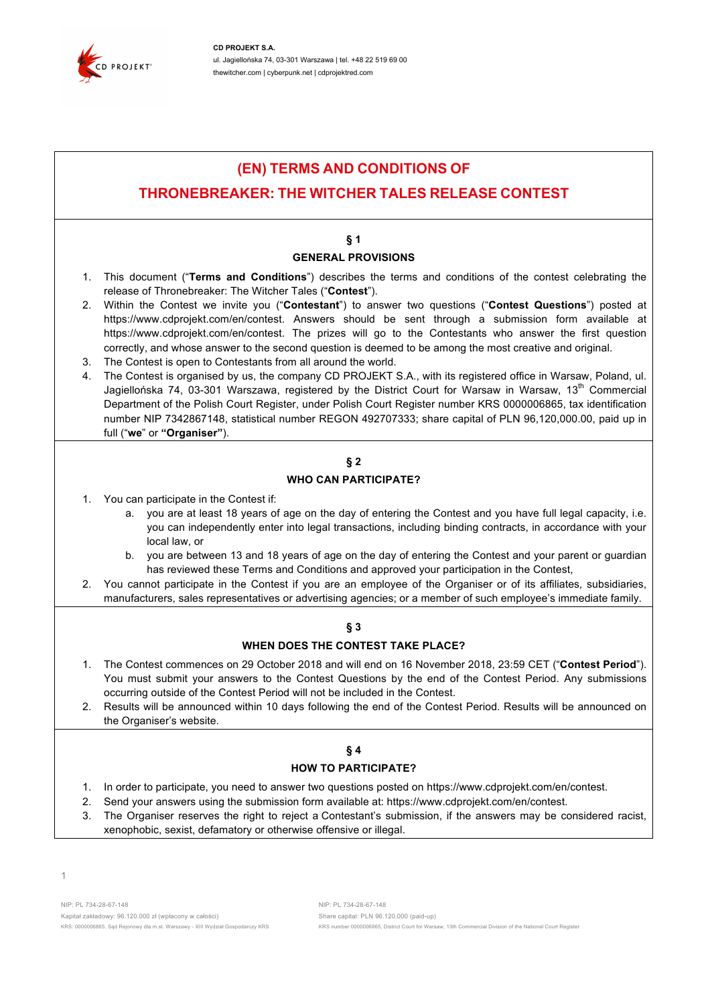

**CD PROJEKT S.A.** ul. Jagiellońska 74, 03-301 Warszawa | tel. +48 22 519 69 00 thewitcher.com | cyberpunk.net | cdprojektred.com

# **(EN) TERMS AND CONDITIONS OF**

# **THRONEBREAKER: THE WITCHER TALES RELEASE CONTEST**

# **§ 1**

### **GENERAL PROVISIONS**

- 1. This document ("**Terms and Conditions**") describes the terms and conditions of the contest celebrating the release of Thronebreaker: The Witcher Tales ("**Contest**").
- 2. Within the Contest we invite you ("**Contestant**") to answer two questions ("**Contest Questions**") posted at https://www.cdprojekt.com/en/contest. Answers should be sent through a submission form available at https://www.cdprojekt.com/en/contest. The prizes will go to the Contestants who answer the first question correctly, and whose answer to the second question is deemed to be among the most creative and original.
- 3. The Contest is open to Contestants from all around the world.
- 4. The Contest is organised by us, the company CD PROJEKT S.A., with its registered office in Warsaw, Poland, ul. Jagiellońska 74, 03-301 Warszawa, registered by the District Court for Warsaw in Warsaw, 13<sup>th</sup> Commercial Department of the Polish Court Register, under Polish Court Register number KRS 0000006865, tax identification number NIP 7342867148, statistical number REGON 492707333; share capital of PLN 96,120,000.00, paid up in full ("**we**" or **"Organiser"**).

# **§ 2 WHO CAN PARTICIPATE?**

- 1. You can participate in the Contest if:
	- a. you are at least 18 years of age on the day of entering the Contest and you have full legal capacity, i.e. you can independently enter into legal transactions, including binding contracts, in accordance with your local law, or
	- b. you are between 13 and 18 years of age on the day of entering the Contest and your parent or guardian has reviewed these Terms and Conditions and approved your participation in the Contest,
- 2. You cannot participate in the Contest if you are an employee of the Organiser or of its affiliates, subsidiaries, manufacturers, sales representatives or advertising agencies; or a member of such employee's immediate family.

# **§ 3**

# **WHEN DOES THE CONTEST TAKE PLACE?**

- 1. The Contest commences on 29 October 2018 and will end on 16 November 2018, 23:59 CET ("**Contest Period**"). You must submit your answers to the Contest Questions by the end of the Contest Period. Any submissions occurring outside of the Contest Period will not be included in the Contest.
- 2. Results will be announced within 10 days following the end of the Contest Period. Results will be announced on the Organiser's website.

### **§ 4**

#### **HOW TO PARTICIPATE?**

- 1. In order to participate, you need to answer two questions posted on https://www.cdprojekt.com/en/contest.
- 2. Send your answers using the submission form available at: https://www.cdprojekt.com/en/contest.
- 3. The Organiser reserves the right to reject a Contestant's submission, if the answers may be considered racist, xenophobic, sexist, defamatory or otherwise offensive or illegal.

NIP: PL 734-28-67-148 NIP: PL 734-28-67-148 Kapitał zakładowy: 96.120.000 zł (wpłacony w całości) Share capital: PLN 96.120.000 (paid-up)

KRS: 0000006865, Sąd Rejonowy dla m.st. Warszawy - XIII Wydział Gospodarczy KRS <a>
KRS number 0000006865, District Court for Warsaw, 13th Commercial Division of the National Court Register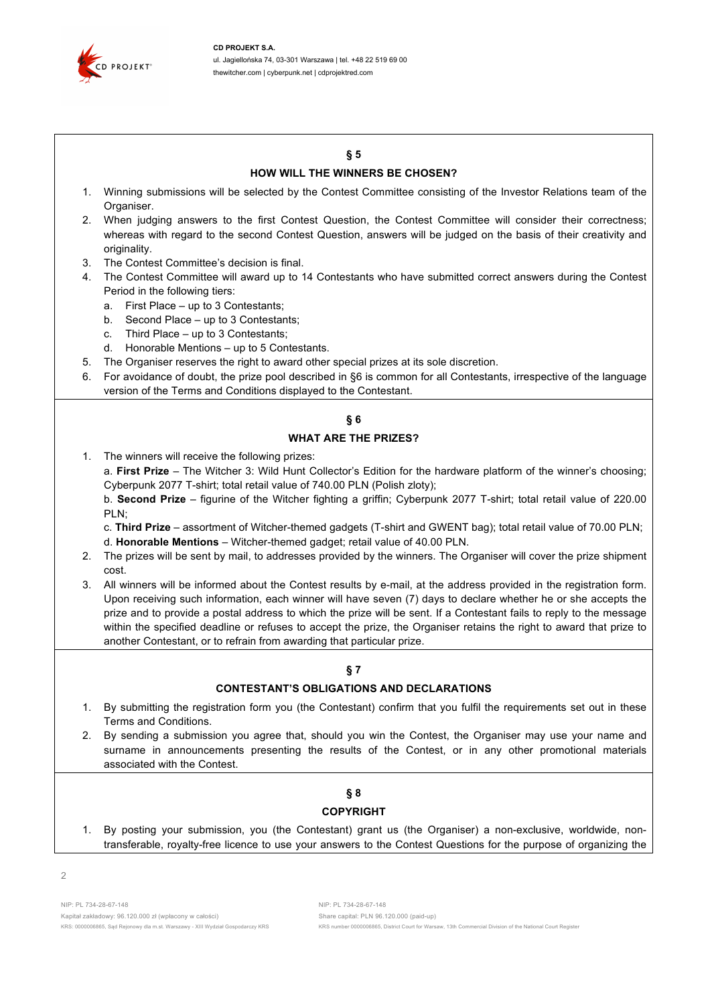

## **§ 5**

#### **HOW WILL THE WINNERS BE CHOSEN?**

- 1. Winning submissions will be selected by the Contest Committee consisting of the Investor Relations team of the Organiser.
- 2. When judging answers to the first Contest Question, the Contest Committee will consider their correctness; whereas with regard to the second Contest Question, answers will be judged on the basis of their creativity and originality.
- 3. The Contest Committee's decision is final.
- 4. The Contest Committee will award up to 14 Contestants who have submitted correct answers during the Contest Period in the following tiers:
	- a. First Place up to 3 Contestants;
	- b. Second Place up to 3 Contestants;
	- c. Third Place up to 3 Contestants;
	- d. Honorable Mentions up to 5 Contestants.
- 5. The Organiser reserves the right to award other special prizes at its sole discretion.
- 6. For avoidance of doubt, the prize pool described in §6 is common for all Contestants, irrespective of the language version of the Terms and Conditions displayed to the Contestant.

# **§ 6**

#### **WHAT ARE THE PRIZES?**

1. The winners will receive the following prizes:

a. **First Prize** – The Witcher 3: Wild Hunt Collector's Edition for the hardware platform of the winner's choosing; Cyberpunk 2077 T-shirt; total retail value of 740.00 PLN (Polish zloty);

b. **Second Prize** – figurine of the Witcher fighting a griffin; Cyberpunk 2077 T-shirt; total retail value of 220.00 PLN;

c. **Third Prize** – assortment of Witcher-themed gadgets (T-shirt and GWENT bag); total retail value of 70.00 PLN; d. **Honorable Mentions** – Witcher-themed gadget; retail value of 40.00 PLN.

- 2. The prizes will be sent by mail, to addresses provided by the winners. The Organiser will cover the prize shipment cost.
- 3. All winners will be informed about the Contest results by e-mail, at the address provided in the registration form. Upon receiving such information, each winner will have seven (7) days to declare whether he or she accepts the prize and to provide a postal address to which the prize will be sent. If a Contestant fails to reply to the message within the specified deadline or refuses to accept the prize, the Organiser retains the right to award that prize to another Contestant, or to refrain from awarding that particular prize.

# **§ 7**

# **CONTESTANT'S OBLIGATIONS AND DECLARATIONS**

- 1. By submitting the registration form you (the Contestant) confirm that you fulfil the requirements set out in these Terms and Conditions.
- 2. By sending a submission you agree that, should you win the Contest, the Organiser may use your name and surname in announcements presenting the results of the Contest, or in any other promotional materials associated with the Contest.

### **§ 8 COPYRIGHT**

1. By posting your submission, you (the Contestant) grant us (the Organiser) a non-exclusive, worldwide, nontransferable, royalty-free licence to use your answers to the Contest Questions for the purpose of organizing the

KRS: 0000006865, Sąd Rejonowy dla m.st. Warszawy - XIII Wydział Gospodarczy KRS <a>
KRS number 0000006865, District Court for Warsaw, 13th Commercial Division of the National Court Register